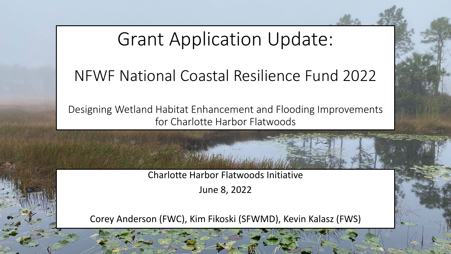Grant Application Update:

#### NFWF National Coastal Resilience Fund 2022

Designing Wetland Habitat Enhancement and Flooding Improvements for Charlotte Harbor Flatwoods

Charlotte Harbor Flatwoods Initiative

June 8, 2022

Corey Anderson (FWC), Kim Fikoski (SFWMD), Kevin Kalasz (FWS)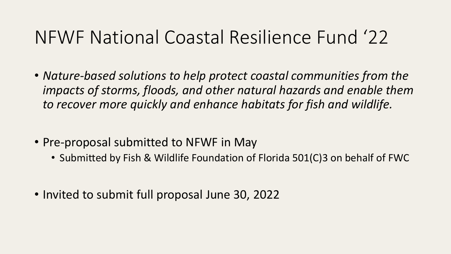# NFWF National Coastal Resilience Fund '22

- *Nature-based solutions to help protect coastal communities from the impacts of storms, floods, and other natural hazards and enable them to recover more quickly and enhance habitats for fish and wildlife.*
- Pre-proposal submitted to NFWF in May
	- Submitted by Fish & Wildlife Foundation of Florida 501(C)3 on behalf of FWC
- Invited to submit full proposal June 30, 2022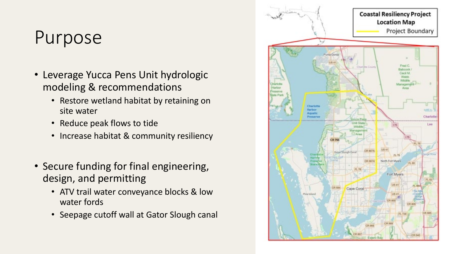## Purpose

- Leverage Yucca Pens Unit hydrologic modeling & recommendations
	- Restore wetland habitat by retaining on site water
	- Reduce peak flows to tide
	- Increase habitat & community resiliency
- Secure funding for final engineering, design, and permitting
	- ATV trail water conveyance blocks & low water fords
	- Seepage cutoff wall at Gator Slough canal

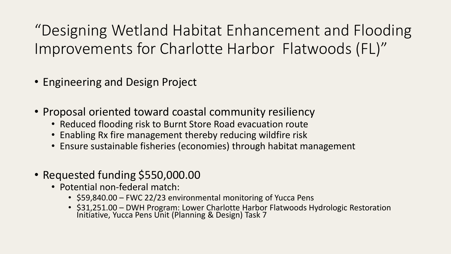"Designing Wetland Habitat Enhancement and Flooding Improvements for Charlotte Harbor Flatwoods (FL)"

- Engineering and Design Project
- Proposal oriented toward coastal community resiliency
	- Reduced flooding risk to Burnt Store Road evacuation route
	- Enabling Rx fire management thereby reducing wildfire risk
	- Ensure sustainable fisheries (economies) through habitat management
- Requested funding \$550,000.00
	- Potential non-federal match:
		- \$59,840.00 FWC 22/23 environmental monitoring of Yucca Pens
		- \$31,251.00 DWH Program: Lower Charlotte Harbor Flatwoods Hydrologic Restoration<br>Initiative, Yucca Pens Unit (Planning & Design) Task 7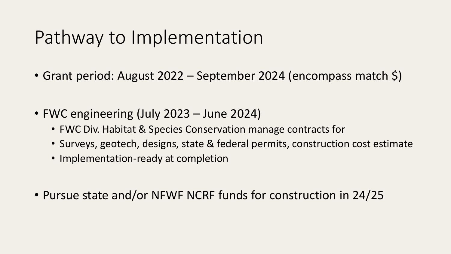## Pathway to Implementation

- Grant period: August 2022 September 2024 (encompass match \$)
- FWC engineering (July 2023 June 2024)
	- FWC Div. Habitat & Species Conservation manage contracts for
	- Surveys, geotech, designs, state & federal permits, construction cost estimate
	- Implementation-ready at completion
- Pursue state and/or NFWF NCRF funds for construction in 24/25